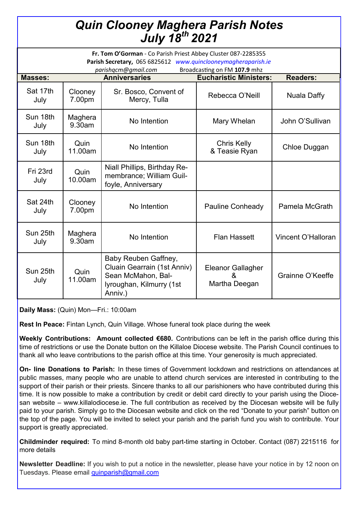## *Quin Clooney Maghera Parish Notes July 18th 2021*

| Fr. Tom O'Gorman - Co Parish Priest Abbey Cluster 087-2285355<br>Parish Secretary, 065 6825612 www.quinclooneymagheraparish.ie<br>Broadcasting on FM 107.9 mhz<br>parishqcm@gmail.com |                      |                                                                                                                  |                                                |                    |
|---------------------------------------------------------------------------------------------------------------------------------------------------------------------------------------|----------------------|------------------------------------------------------------------------------------------------------------------|------------------------------------------------|--------------------|
| <b>Masses:</b>                                                                                                                                                                        | <b>Anniversaries</b> |                                                                                                                  | <b>Eucharistic Ministers:</b>                  | <b>Readers:</b>    |
| Sat 17th<br>July                                                                                                                                                                      | Clooney<br>7.00pm    | Sr. Bosco, Convent of<br>Mercy, Tulla                                                                            | Rebecca O'Neill                                | <b>Nuala Daffy</b> |
| Sun 18th<br>July                                                                                                                                                                      | Maghera<br>9.30am    | No Intention                                                                                                     | Mary Whelan                                    | John O'Sullivan    |
| Sun 18th<br>July                                                                                                                                                                      | Quin<br>11.00am      | No Intention                                                                                                     | <b>Chris Kelly</b><br>& Teasie Ryan            | Chloe Duggan       |
| Fri 23rd<br>July                                                                                                                                                                      | Quin<br>10.00am      | Niall Phillips, Birthday Re-<br>membrance; William Guil-<br>foyle, Anniversary                                   |                                                |                    |
| Sat 24th<br>July                                                                                                                                                                      | Clooney<br>7.00pm    | No Intention                                                                                                     | <b>Pauline Conheady</b>                        | Pamela McGrath     |
| Sun 25th<br>July                                                                                                                                                                      | Maghera<br>9.30am    | No Intention                                                                                                     | <b>Flan Hassett</b>                            | Vincent O'Halloran |
| Sun 25th<br>July                                                                                                                                                                      | Quin<br>11.00am      | Baby Reuben Gaffney,<br>Cluain Gearrain (1st Anniv)<br>Sean McMahon, Bal-<br>lyroughan, Kilmurry (1st<br>Anniv.) | <b>Eleanor Gallagher</b><br>&<br>Martha Deegan | Grainne O'Keeffe   |

**Daily Mass:** (Quin) Mon—Fri.: 10:00am

**Rest In Peace:** Fintan Lynch, Quin Village. Whose funeral took place during the week

**Weekly Contributions: Amount collected €680.** Contributions can be left in the parish office during this time of restrictions or use the Donate button on the Killaloe Diocese website. The Parish Council continues to thank all who leave contributions to the parish office at this time. Your generosity is much appreciated.

**On- line Donations to Parish:** In these times of Government lockdown and restrictions on attendances at public masses, many people who are unable to attend church services are interested in contributing to the support of their parish or their priests. Sincere thanks to all our parishioners who have contributed during this time. It is now possible to make a contribution by credit or debit card directly to your parish using the Diocesan website – www.killalodiocese.ie. The full contribution as received by the Diocesan website will be fully paid to your parish. Simply go to the Diocesan website and click on the red "Donate to your parish" button on the top of the page. You will be invited to select your parish and the parish fund you wish to contribute. Your support is greatly appreciated.

**Childminder required:** To mind 8-month old baby part-time starting in October. Contact (087) 2215116 for more details

**Newsletter Deadline:** If you wish to put a notice in the newsletter, please have your notice in by 12 noon on Tuesdays. Please email [quinparish@gmail.com](mailto:quinparish@gmail.com)